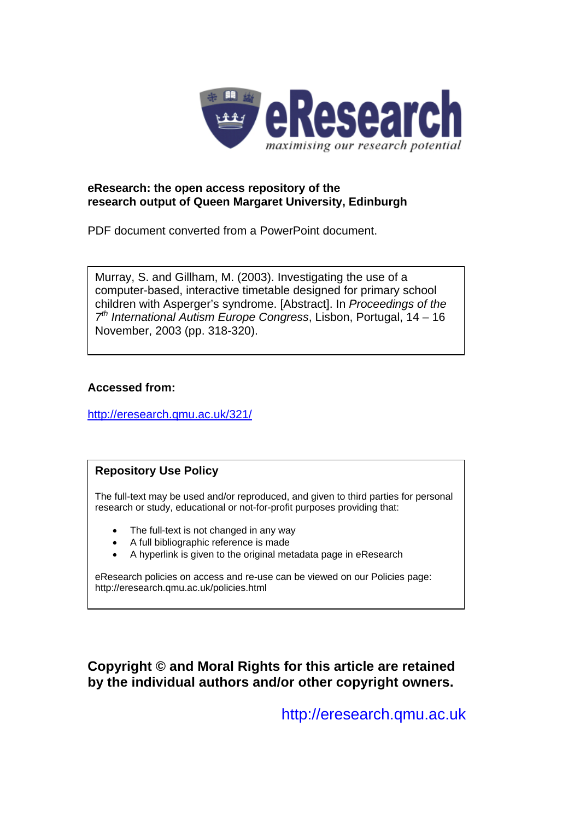

# **eResearch: the open access repository of the research output of Queen Margaret University, Edinburgh**

PDF document converted from a PowerPoint document.

Murray, S. and Gillham, M. (2003). Investigating the use of a computer-based, interactive timetable designed for primary school children with Asperger's syndrome. [Abstract]. In *Proceedings of the 7th International Autism Europe Congress*, Lisbon, Portugal, 14 – 16 November, 2003 (pp. 318-320).

# **Accessed from:**

<http://eresearch.qmu.ac.uk/321/>

# **Repository Use Policy**

The full-text may be used and/or reproduced, and given to third parties for personal research or study, educational or not-for-profit purposes providing that:

- The full-text is not changed in any way
- A full bibliographic reference is made
- A hyperlink is given to the original metadata page in eResearch

eResearch policies on access and re-use can be viewed on our Policies page: <http://eresearch.qmu.ac.uk/policies.html>

**Copyright © and Moral Rights for this article are retained by the individual authors and/or other copyright owners.** 

[http://eresearch.qmu.ac.uk](http://eresearch.qmu.ac.uk/)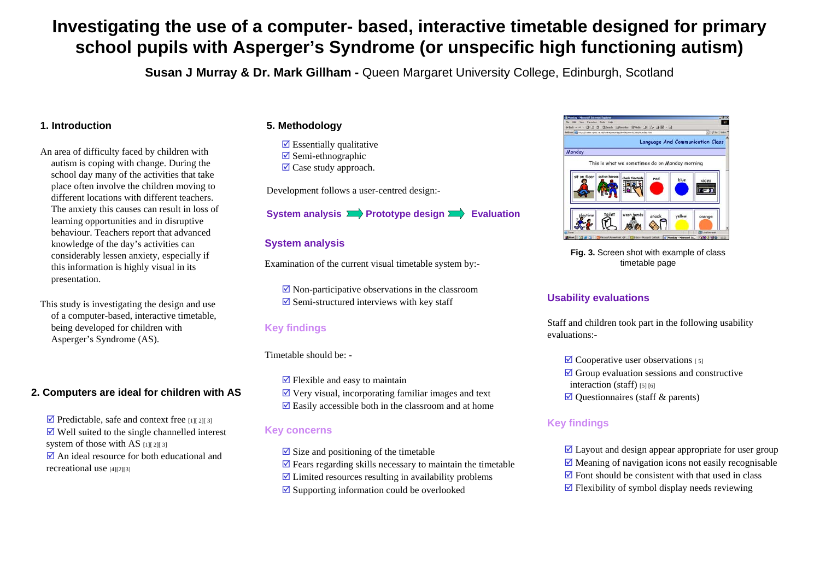# **Investigating the use of a computer- based, interactive timetable designed for primary school pupils with Asperger's Syndrome (or unspecific high functioning autism)**

**Susan J Murray & Dr. Mark Gillham -** Queen Margaret University College, Edinburgh, Scotland

#### **1. Introduction**

- An area of difficulty faced by children with autism is coping with change. During the school day many of the activities that take place often involve the children moving to different locations with different teachers. The anxiety this causes can result in loss of learning opportunities and in disruptive behaviour. Teachers report that advanced knowledge of the day's activities can considerably lessen anxiety, especially if this information is highly visual in its presentation.
- This study is investigating the design and use of a computer-based, interactive timetable, being developed for children with Asperger's Syndrome (AS).

#### **2. Computers are ideal for children with AS**

 $\triangledown$  Predictable, safe and context free [1][ 2][ 3]  $\triangledown$  Well suited to the single channelled interest system of those with AS  $[1][2][3]$  $\triangledown$  An ideal resource for both educational and recreational use [4][2][3]

#### **5. Methodology**

 $\triangledown$  Essentially qualitative  $\boxtimes$  Semi-ethnographic  $\boxtimes$  Case study approach.

Development follows a user-centred design:-

#### **System analysis Prototype design Evaluation**

#### **System analysis**

Examination of the current visual timetable system by:-

 $\overline{\mathbf{v}}$  Non-participative observations in the classroom  $\overline{\mathbf{v}}$  Semi-structured interviews with key staff

#### **Key findings**

#### Timetable should be: -

 $\triangledown$  Flexible and easy to maintain  $\overline{\mathcal{A}}$  Very visual, incorporating familiar images and text  $\overline{\mathbf{z}}$  Easily accessible both in the classroom and at home

#### **Key concerns**

 $\overline{\mathcal{A}}$  Size and positioning of the timetable  $\overline{\mathbf{z}}$  Fears regarding skills necessary to maintain the timetable  $\overline{\mathcal{A}}$  Limited resources resulting in availability problems  $\boxtimes$  Supporting information could be overlooked



**Fig. 3.** Screen shot with example of class timetable page

#### **Usability evaluations**

Staff and children took part in the following usability evaluations:-

- $\boxtimes$  Cooperative user observations [5]
- $\triangledown$  Group evaluation sessions and constructive interaction (staff) [5] [6]
- $\boxtimes$  Questionnaires (staff & parents)

#### **Key findings**

 $\overline{\mathcal{A}}$  Layout and design appear appropriate for user group  $\overline{\mathcal{A}}$  Meaning of navigation icons not easily recognisable  $\triangledown$  Font should be consistent with that used in class  $\triangledown$  Flexibility of symbol display needs reviewing